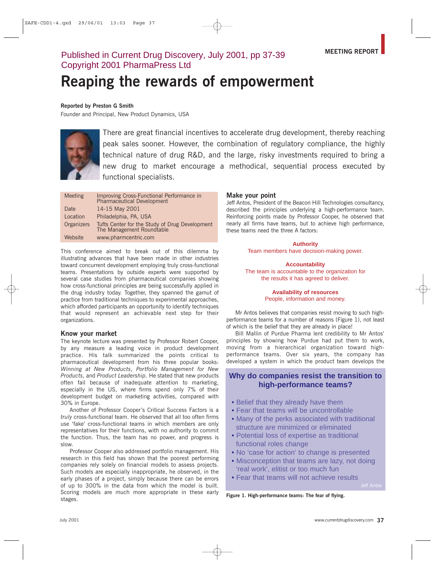# Published in Current Drug Discovery, July 2001, pp 37-39 Copyright 2001 PharmaPress Ltd

# Reaping the rewards of empowerment

#### Reported by Preston G Smith

Founder and Principal, New Product Dynamics, USA



There are great financial incentives to accelerate drug development, thereby reaching peak sales sooner. However, the combination of regulatory compliance, the highly technical nature of drug R&D, and the large, risky investments required to bring a new drug to market encourage a methodical, sequential process executed by functional specialists.

| <b>Meeting</b> | Improving Cross-Functional Performance in<br><b>Pharmaceutical Development</b> |
|----------------|--------------------------------------------------------------------------------|
| Date           | 14-15 May 2001                                                                 |
| Location       | Philadelphia, PA, USA                                                          |
| Organizers     | Tufts Center for the Study of Drug Development<br>The Management Roundtable    |
| Website        | www.pharmcentric.com                                                           |

This conference aimed to break out of this dilemma by illustrating advances that have been made in other industries toward concurrent development employing truly cross-functional teams. Presentations by outside experts were supported by several case studies from pharmaceutical companies showing how cross-functional principles are being successfully applied in the drug industry today. Together, they spanned the gamut of practice from traditional techniques to experimental approaches, which afforded participants an opportunity to identify techniques that would represent an achievable next step for their organizations.

# Know your market

The keynote lecture was presented by Professor Robert Cooper, by any measure a leading voice in product development practice. His talk summarized the points critical to pharmaceutical development from his three popular books: Winning at New Products, Portfolio Management for New Products, and Product Leadership. He stated that new products often fail because of inadequate attention to marketing, especially in the US, where firms spend only 7% of their development budget on marketing activities, compared with 30% in Europe.

Another of Professor Cooper's Critical Success Factors is a truly cross-functional team. He observed that all too often firms use 'fake' cross-functional teams in which members are only representatives for their functions, with no authority to commit the function. Thus, the team has no power, and progress is slow.

Professor Cooper also addressed portfolio management. His research in this field has shown that the poorest performing companies rely solely on financial models to assess projects. Such models are especially inappropriate, he observed, in the early phases of a project, simply because there can be errors of up to 300% in the data from which the model is built. Scoring models are much more appropriate in these early stages.

# Make vour point

Jeff Antos, President of the Beacon Hill Technologies consultancy, described the principles underlying a high-performance team. Reinforcing points made by Professor Cooper, he observed that nearly all firms have teams, but to achieve high performance, these teams need the three A factors:

> **Authority** Team members have decision-making power.

**Accountability** The team is accountable to the organization for the results it has agreed to deliver.

# **Availability of resources** People, information and money.

Mr Antos believes that companies resist moving to such highperformance teams for a number of reasons (Figure 1), not least of which is the belief that they are already in place!

Bill Mallin of Purdue Pharma lent credibility to Mr Antos' principles by showing how Purdue had put them to work, moving from a hierarchical organization toward highperformance teams. Over six years, the company has developed a system in which the product team develops the

# **Why do companies resist the transition to high-performance teams?**

- Belief that they already have them
- Fear that teams will be uncontrollable
- Many of the perks associated with traditional structure are minimized or eliminated
- Potential loss of expertise as traditional functional roles change
- No 'case for action' to change is presented
- Misconception that teams are lazy, not doing 'real work', elitist or too much fun

• Fear that teams will not achieve results

Figure 1. High-performance teams: The fear of flying.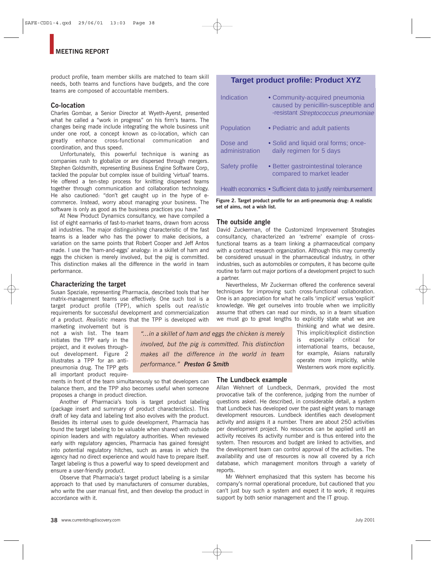product profile, team member skills are matched to team skill needs, both teams and functions have budgets, and the core teams are composed of accountable members.

# Co-location

Charles Gombar, a Senior Director at Wyeth-Ayerst, presented what he called a "work in progress" on his firm's teams. The changes being made include integrating the whole business unit under one roof, a concept known as co-location, which can greatly enhance cross-functional communication and coordination, and thus speed.

Unfortunately, this powerful technique is waning as companies rush to globalize or are dispersed through mergers. Stephen Goldsmith, representing Business Engine Software Corp, tackled the popular but complex issue of building 'virtual' teams. He offered a ten-step process for knitting dispersed teams together through communication and collaboration technology. He also cautioned: "don't get caught up in the hype of ecommerce. Instead, worry about managing your business. The software is only as good as the business practices you have."

At New Product Dynamics consultancy, we have compiled a list of eight earmarks of fast-to-market teams, drawn from across all industries. The major distinguishing characteristic of the fast teams is a leader who has the power to make decisions, a variation on the same points that Robert Cooper and Jeff Antos made. I use the 'ham-and-eggs' analogy: in a skillet of ham and eggs the chicken is merely involved, but the pig is committed. This distinction makes all the difference in the world in team performance.

# Characterizing the target

Susan Speziale, representing Pharmacia, described tools that her matrix-management teams use effectively. One such tool is a target product profile (TPP), which spells out realistic requirements for successful development and commercialization of a product. Realistic means that the TPP is developed with

marketing involvement but is not a wish list. The team initiates the TPP early in the project, and it evolves throughout development. Figure 2 illustrates a TPP for an antipneumonia drug. The TPP gets all important product require-

"... in a skillet of ham and eggs the chicken is merely involved, but the pig is committed. This distinction makes all the difference in the world in team performance." Preston G Smith

ments in front of the team simultaneously so that developers can balance them, and the TPP also becomes useful when someone proposes a change in product direction.

Another of Pharmacia's tools is target product labeling (package insert and summary of product characteristics). This draft of key data and labeling text also evolves with the product. Besides its internal uses to guide development, Pharmacia has found the target labeling to be valuable when shared with outside opinion leaders and with regulatory authorities. When reviewed early with regulatory agencies, Pharmacia has gained foresight into potential regulatory hitches, such as areas in which the agency had no direct experience and would have to prepare itself. Target labeling is thus a powerful way to speed development and ensure a user-friendly product.

Observe that Pharmacia's target product labeling is a similar approach to that used by manufacturers of consumer durables, who write the user manual first, and then develop the product in accordance with it.

# **Target product profile: Product XYZ**

| Indication                 | • Community-acquired pneumonia<br>caused by penicillin-susceptible and<br>-resistant Streptococcus pneumoniae |
|----------------------------|---------------------------------------------------------------------------------------------------------------|
| Population                 | • Pediatric and adult patients                                                                                |
| Dose and<br>administration | • Solid and liquid oral forms; once-<br>daily regimen for 5 days                                              |
| Safety profile             | • Better gastrointestinal tolerance<br>compared to market leader                                              |
|                            | Health economics • Sufficient data to justify reimbursement                                                   |

Figure 2. Target product profile for an anti-pneumonia drug: A realistic set of aims, not a wish list.

#### The outside angle

David Zuckerman, of the Customized Improvement Strategies consultancy, characterized an 'extreme' example of crossfunctional teams as a team linking a pharmaceutical company with a contract research organization. Although this may currently be considered unusual in the pharmaceutical industry, in other industries, such as automobiles or computers, it has become quite routine to farm out major portions of a development project to such a partner.

Nevertheless, Mr Zuckerman offered the conference several techniques for improving such cross-functional collaboration. One is an appreciation for what he calls 'implicit' versus 'explicit' knowledge. We get ourselves into trouble when we implicitly assume that others can read our minds, so in a team situation we must go to great lengths to explicitly state what we are

> thinking and what we desire. This implicit/explicit distinction especially critical is  $for$ international teams, because, for example, Asians naturally operate more implicitly, while Westerners work more explicitly.

The Lundbeck example

Allan Wehnert of Lundbeck, Denmark, provided the most provocative talk of the conference, judging from the number of questions asked. He described, in considerable detail, a system that Lundbeck has developed over the past eight years to manage development resources. Lundbeck identifies each development activity and assigns it a number. There are about 250 activities per development project. No resources can be applied until an activity receives its activity number and is thus entered into the system. Then resources and budget are linked to activities, and the development team can control approval of the activities. The availability and use of resources is now all covered by a rich database, which management monitors through a variety of reports.

Mr Wehnert emphasized that this system has become his company's normal operational procedure, but cautioned that you can't just buy such a system and expect it to work; it requires support by both senior management and the IT group.